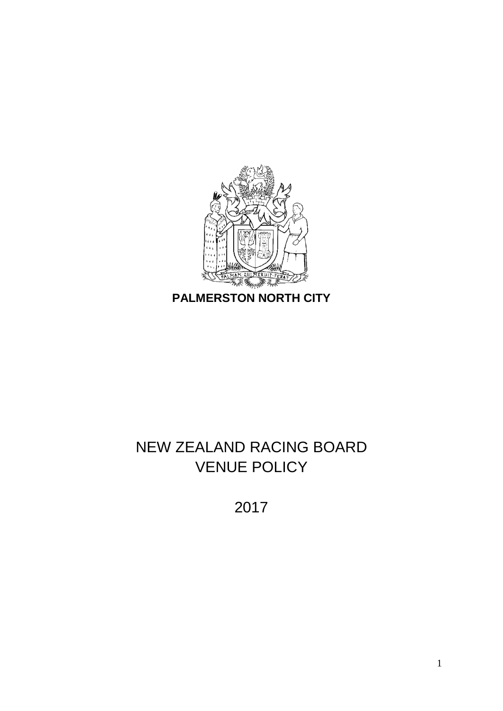

# **PALMERSTON NORTH CITY**

# NEW ZEALAND RACING BOARD VENUE POLICY

2017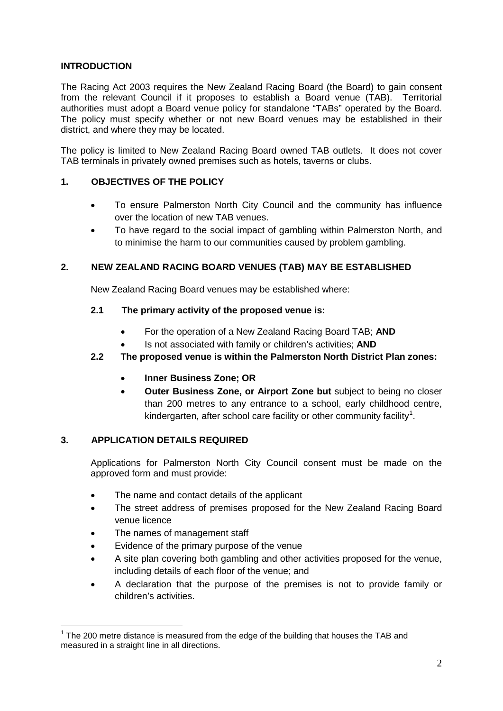## **INTRODUCTION**

The Racing Act 2003 requires the New Zealand Racing Board (the Board) to gain consent from the relevant Council if it proposes to establish a Board venue (TAB). Territorial authorities must adopt a Board venue policy for standalone "TABs" operated by the Board. The policy must specify whether or not new Board venues may be established in their district, and where they may be located.

The policy is limited to New Zealand Racing Board owned TAB outlets. It does not cover TAB terminals in privately owned premises such as hotels, taverns or clubs.

#### **1. OBJECTIVES OF THE POLICY**

- To ensure Palmerston North City Council and the community has influence over the location of new TAB venues.
- To have regard to the social impact of gambling within Palmerston North, and to minimise the harm to our communities caused by problem gambling.

#### **2. NEW ZEALAND RACING BOARD VENUES (TAB) MAY BE ESTABLISHED**

New Zealand Racing Board venues may be established where:

#### **2.1 The primary activity of the proposed venue is:**

- For the operation of a New Zealand Racing Board TAB; **AND**
- Is not associated with family or children's activities; **AND**

#### **2.2 The proposed venue is within the Palmerston North District Plan zones:**

- **Inner Business Zone; OR**
- **Outer Business Zone, or Airport Zone but** subject to being no closer than 200 metres to any entrance to a school, early childhood centre, kindergarten, after school care facility or other community facility<sup>[1](#page-1-0)</sup>.

### **3. APPLICATION DETAILS REQUIRED**

Applications for Palmerston North City Council consent must be made on the approved form and must provide:

- The name and contact details of the applicant
- The street address of premises proposed for the New Zealand Racing Board venue licence
- The names of management staff
- Evidence of the primary purpose of the venue
- A site plan covering both gambling and other activities proposed for the venue, including details of each floor of the venue; and
- A declaration that the purpose of the premises is not to provide family or children's activities.

<span id="page-1-0"></span> $1$  The 200 metre distance is measured from the edge of the building that houses the TAB and measured in a straight line in all directions.